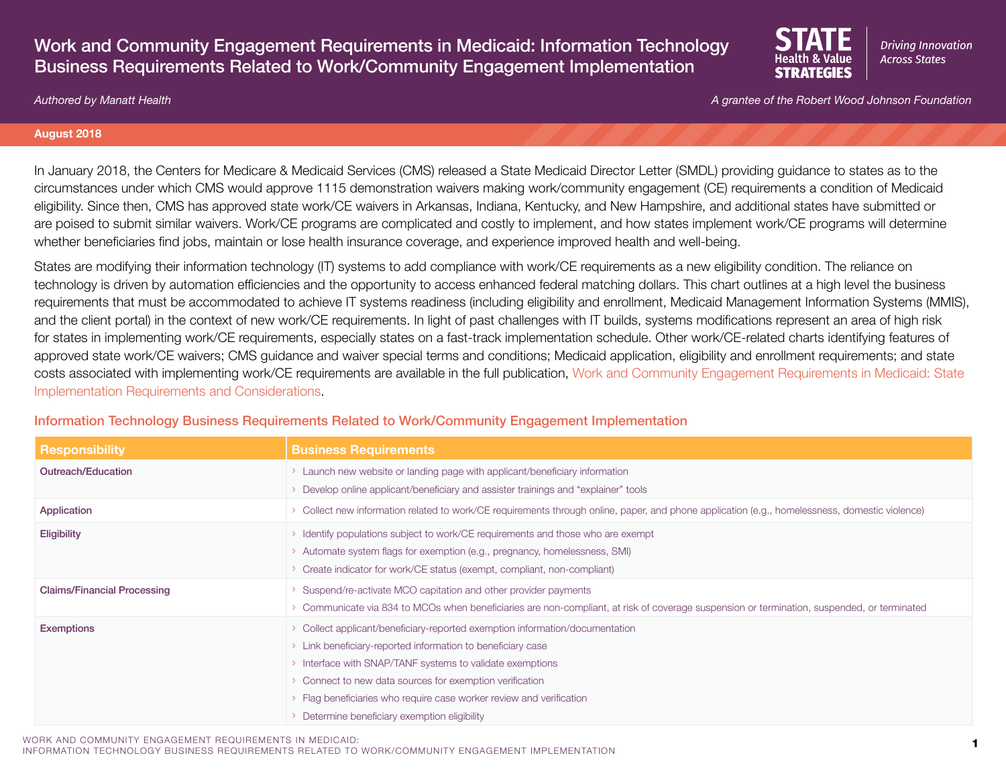# Work and Community Engagement Requirements in Medicaid: Information Technology Business Requirements Related to Work/Community Engagement Implementation



*Authored by Manatt Health A grantee of the Robert Wood Johnson Foundation*

#### **August 2018**

In January 2018, the Centers for Medicare & Medicaid Services (CMS) released a State Medicaid Director Letter (SMDL) providing guidance to states as to the circumstances under which CMS would approve 1115 demonstration waivers making work/community engagement (CE) requirements a condition of Medicaid eligibility. Since then, CMS has approved state work/CE waivers in Arkansas, Indiana, Kentucky, and New Hampshire, and additional states have submitted or are poised to submit similar waivers. Work/CE programs are complicated and costly to implement, and how states implement work/CE programs will determine whether beneficiaries find jobs, maintain or lose health insurance coverage, and experience improved health and well-being.

States are modifying their information technology (IT) systems to add compliance with work/CE requirements as a new eligibility condition. The reliance on technology is driven by automation efficiencies and the opportunity to access enhanced federal matching dollars. This chart outlines at a high level the business requirements that must be accommodated to achieve IT systems readiness (including eligibility and enrollment, Medicaid Management Information Systems (MMIS), and the client portal) in the context of new work/CE requirements. In light of past challenges with IT builds, systems modifications represent an area of high risk for states in implementing work/CE requirements, especially states on a fast-track implementation schedule. Other work/CE-related charts identifying features of approved state work/CE waivers; CMS guidance and waiver special terms and conditions; Medicaid application, eligibility and enrollment requirements; and state costs associated with implementing work/CE requirements are available in the full publication, [Work and Community Engagement Requirements in Medicaid: State](https://www.shvs.org/resource/work-and-community-engagement-requirements-in-medicaid-state-implementation-requirements-and-considerations/)  [Implementation Requirements and Considerations](https://www.shvs.org/resource/work-and-community-engagement-requirements-in-medicaid-state-implementation-requirements-and-considerations/).

| <b>Responsibility</b>              | <b>Business Requirements</b>                                                                                                                 |
|------------------------------------|----------------------------------------------------------------------------------------------------------------------------------------------|
| Outreach/Education                 | Launch new website or landing page with applicant/beneficiary information                                                                    |
|                                    | Develop online applicant/beneficiary and assister trainings and "explainer" tools                                                            |
| Application                        | Collect new information related to work/CE requirements through online, paper, and phone application (e.g., homelessness, domestic violence) |
| Eligibility                        | Identify populations subject to work/CE requirements and those who are exempt                                                                |
|                                    | Automate system flags for exemption (e.g., pregnancy, homelessness, SMI)                                                                     |
|                                    | Create indicator for work/CE status (exempt, compliant, non-compliant)                                                                       |
| <b>Claims/Financial Processing</b> | Suspend/re-activate MCO capitation and other provider payments                                                                               |
|                                    | Communicate via 834 to MCOs when beneficiaries are non-compliant, at risk of coverage suspension or termination, suspended, or terminated    |
| <b>Exemptions</b>                  | Collect applicant/beneficiary-reported exemption information/documentation                                                                   |
|                                    | Link beneficiary-reported information to beneficiary case                                                                                    |
|                                    | > Interface with SNAP/TANF systems to validate exemptions                                                                                    |
|                                    | Connect to new data sources for exemption verification                                                                                       |
|                                    | > Flag beneficiaries who require case worker review and verification                                                                         |
|                                    | Determine beneficiary exemption eligibility                                                                                                  |

### Information Technology Business Requirements Related to Work/Community Engagement Implementation

WORK AND COMMUNITY ENGAGEMENT REQUIREMENTS IN MEDICAID: 1INFORMATION TECHNOLOGY BUSINESS REQUIREMENTS RELATED TO WORK/COMMUNITY ENGAGEMENT IMPLEMENTATION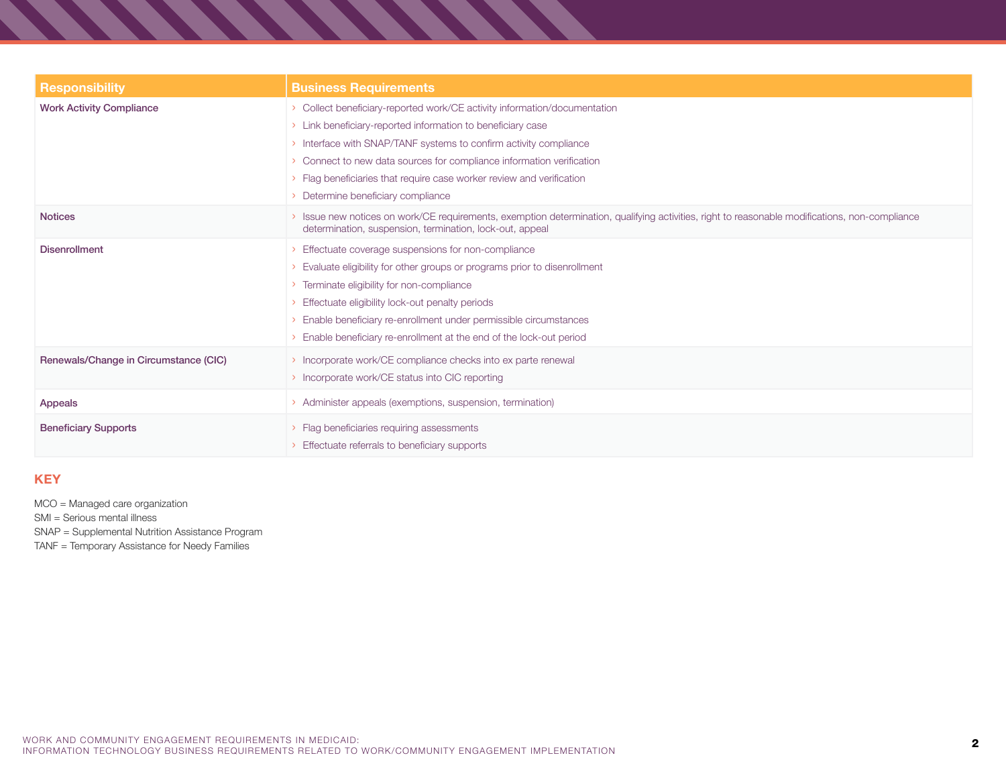| <b>Responsibility</b>                 | <b>Business Requirements</b>                                                                                                                                                                                                                                                                                                                                                                |
|---------------------------------------|---------------------------------------------------------------------------------------------------------------------------------------------------------------------------------------------------------------------------------------------------------------------------------------------------------------------------------------------------------------------------------------------|
| <b>Work Activity Compliance</b>       | Collect beneficiary-reported work/CE activity information/documentation<br>Link beneficiary-reported information to beneficiary case<br>> Interface with SNAP/TANF systems to confirm activity compliance<br>Connect to new data sources for compliance information verification<br>Flag beneficiaries that require case worker review and verification<br>Determine beneficiary compliance |
| <b>Notices</b>                        | Issue new notices on work/CE requirements, exemption determination, qualifying activities, right to reasonable modifications, non-compliance<br>determination, suspension, termination, lock-out, appeal                                                                                                                                                                                    |
| <b>Disenrollment</b>                  | Effectuate coverage suspensions for non-compliance<br>Evaluate eligibility for other groups or programs prior to disenrollment<br>Terminate eligibility for non-compliance<br>Effectuate eligibility lock-out penalty periods<br>Enable beneficiary re-enrollment under permissible circumstances<br>Enable beneficiary re-enrollment at the end of the lock-out period                     |
| Renewals/Change in Circumstance (CIC) | > Incorporate work/CE compliance checks into ex parte renewal<br>> Incorporate work/CE status into CIC reporting                                                                                                                                                                                                                                                                            |
| Appeals                               | Administer appeals (exemptions, suspension, termination)                                                                                                                                                                                                                                                                                                                                    |
| <b>Beneficiary Supports</b>           | > Flag beneficiaries requiring assessments<br>Effectuate referrals to beneficiary supports                                                                                                                                                                                                                                                                                                  |

### **KEY**

MCO = Managed care organization SMI = Serious mental illness

SNAP = Supplemental Nutrition Assistance Program

TANF = Temporary Assistance for Needy Families